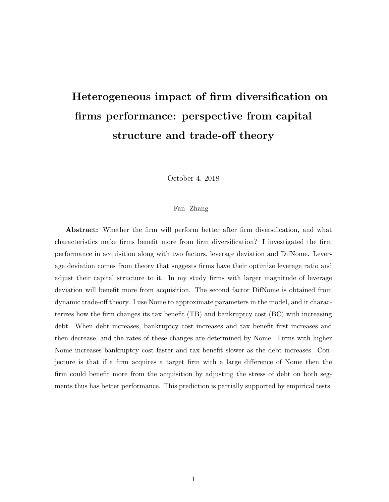# Heterogeneous impact of firm diversification on firms performance: perspective from capital structure and trade-off theory

October 4, 2018

## Fan Zhang

Abstract: Whether the firm will perform better after firm diversification, and what characteristics make firms benefit more from firm diversification? I investigated the firm performance in acquisition along with two factors, leverage deviation and DifNome. Leverage deviation comes from theory that suggests firms have their optimize leverage ratio and adjust their capital structure to it. In my study firms with larger magnitude of leverage deviation will benefit more from acquisition. The second factor DifNome is obtained from dynamic trade-off theory. I use Nome to approximate parameters in the model, and it characterizes how the firm changes its tax benefit (TB) and bankruptcy cost (BC) with increasing debt. When debt increases, bankruptcy cost increases and tax benefit first increases and then decrease, and the rates of these changes are determined by Nome. Firms with higher Nome increases bankruptcy cost faster and tax benefit slower as the debt increases. Conjecture is that if a firm acquires a target firm with a large difference of Nome then the firm could benefit more from the acquisition by adjusting the stress of debt on both segments thus has better performance. This prediction is partially supported by empirical tests.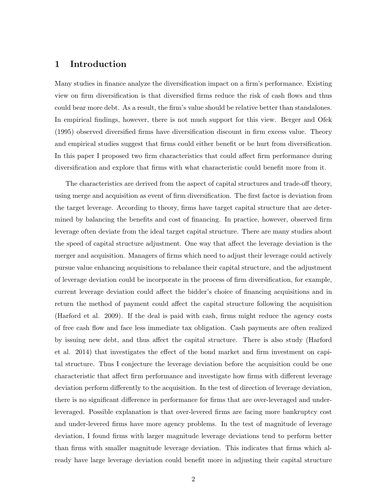## 1 Introduction

Many studies in finance analyze the diversification impact on a firm's performance. Existing view on firm diversification is that diversified firms reduce the risk of cash flows and thus could bear more debt. As a result, the firm's value should be relative better than standalones. In empirical findings, however, there is not much support for this view. Berger and Ofek (1995) observed diversified firms have diversification discount in firm excess value. Theory and empirical studies suggest that firms could either benefit or be hurt from diversification. In this paper I proposed two firm characteristics that could affect firm performance during diversification and explore that firms with what characteristic could benefit more from it.

The characteristics are derived from the aspect of capital structures and trade-off theory, using merge and acquisition as event of firm diversification. The first factor is deviation from the target leverage. According to theory, firms have target capital structure that are determined by balancing the benefits and cost of financing. In practice, however, observed firm leverage often deviate from the ideal target capital structure. There are many studies about the speed of capital structure adjustment. One way that affect the leverage deviation is the merger and acquisition. Managers of firms which need to adjust their leverage could actively pursue value enhancing acquisitions to rebalance their capital structure, and the adjustment of leverage deviation could be incorporate in the process of firm diversification, for example, current leverage deviation could affect the bidder's choice of financing acquisitions and in return the method of payment could affect the capital structure following the acquisition (Harford et al. 2009). If the deal is paid with cash, firms might reduce the agency costs of free cash flow and face less immediate tax obligation. Cash payments are often realized by issuing new debt, and thus affect the capital structure. There is also study (Harford et al. 2014) that investigates the effect of the bond market and firm investment on capital structure. Thus I conjecture the leverage deviation before the acquisition could be one characteristic that affect firm performance and investigate how firms with different leverage deviation perform differently to the acquisition. In the test of direction of leverage deviation, there is no significant difference in performance for firms that are over-leveraged and underleveraged. Possible explanation is that over-levered firms are facing more bankruptcy cost and under-levered firms have more agency problems. In the test of magnitude of leverage deviation, I found firms with larger magnitude leverage deviations tend to perform better than firms with smaller magnitude leverage deviation. This indicates that firms which already have large leverage deviation could benefit more in adjusting their capital structure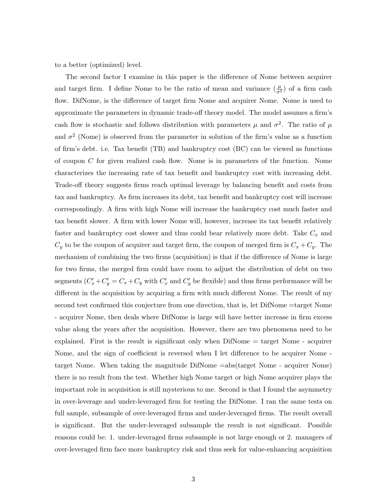to a better (optimized) level.

The second factor I examine in this paper is the difference of Nome between acquirer and target firm. I define Nome to be the ratio of mean and variance  $(\frac{\mu}{\sigma^2})$  of a firm cash flow. DifNome, is the difference of target firm Nome and acquirer Nome. Nome is used to approximate the parameters in dynamic trade-off theory model. The model assumes a firm's cash flow is stochastic and follows distribution with parameters  $\mu$  and  $\sigma^2$ . The ratio of  $\mu$ and  $\sigma^2$  (Nome) is observed from the parameter in solution of the firm's value as a function of firm's debt. i.e. Tax benefit (TB) and bankruptcy cost (BC) can be viewed as functions of coupon C for given realized cash flow. Nome is in parameters of the function. Nome characterizes the increasing rate of tax benefit and bankruptcy cost with increasing debt. Trade-off theory suggests firms reach optimal leverage by balancing benefit and costs from tax and bankruptcy. As firm increases its debt, tax benefit and bankruptcy cost will increase correspondingly. A firm with high Nome will increase the bankruptcy cost much faster and tax benefit slower. A firm with lower Nome will, however, increase its tax benefit relatively faster and bankruptcy cost slower and thus could bear relatively more debt. Take  $C_x$  and  $C_y$  to be the coupon of acquirer and target firm, the coupon of merged firm is  $C_x + C_y$ . The mechanism of combining the two firms (acquisition) is that if the difference of Nome is large for two firms, the merged firm could have room to adjust the distribution of debt on two segments  $(C_x' + C_y' = C_x + C_y$  with  $C_x'$  and  $C_y'$  be flexible) and thus firms performance will be different in the acquisition by acquiring a firm with much different Nome. The result of my second test confirmed this conjecture from one direction, that is, let DifNome =target Nome - acquirer Nome, then deals where DifNome is large will have better increase in firm excess value along the years after the acquisition. However, there are two phenomena need to be explained. First is the result is significant only when DifNome = target Nome - acquirer Nome, and the sign of coefficient is reversed when I let difference to be acquirer Nome target Nome. When taking the magnitude DifNome =abs(target Nome - acquirer Nome) there is no result from the test. Whether high Nome target or high Nome acquirer plays the important role in acquisition is still mysterious to me. Second is that I found the asymmetry in over-leverage and under-leveraged firm for testing the DifNome. I ran the same tests on full sample, subsample of over-leveraged firms and under-leveraged firms. The result overall is significant. But the under-leveraged subsample the result is not significant. Possible reasons could be: 1. under-leveraged firms subsample is not large enough or 2. managers of over-leveraged firm face more bankruptcy risk and thus seek for value-enhancing acquisition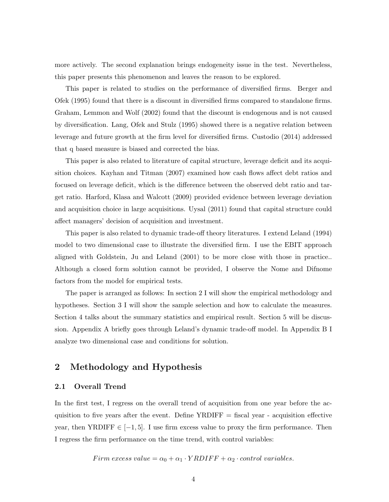more actively. The second explanation brings endogeneity issue in the test. Nevertheless, this paper presents this phenomenon and leaves the reason to be explored.

This paper is related to studies on the performance of diversified firms. Berger and Ofek (1995) found that there is a discount in diversified firms compared to standalone firms. Graham, Lemmon and Wolf (2002) found that the discount is endogenous and is not caused by diversification. Lang, Ofek and Stulz (1995) showed there is a negative relation between leverage and future growth at the firm level for diversified firms. Custodio (2014) addressed that q based measure is biased and corrected the bias.

This paper is also related to literature of capital structure, leverage deficit and its acquisition choices. Kayhan and Titman (2007) examined how cash flows affect debt ratios and focused on leverage deficit, which is the difference between the observed debt ratio and target ratio. Harford, Klasa and Walcott (2009) provided evidence between leverage deviation and acquisition choice in large acquisitions. Uysal (2011) found that capital structure could affect managers' decision of acquisition and investment.

This paper is also related to dynamic trade-off theory literatures. I extend Leland (1994) model to two dimensional case to illustrate the diversified firm. I use the EBIT approach aligned with Goldstein, Ju and Leland (2001) to be more close with those in practice.. Although a closed form solution cannot be provided, I observe the Nome and Difnome factors from the model for empirical tests.

The paper is arranged as follows: In section 2 I will show the empirical methodology and hypotheses. Section 3 I will show the sample selection and how to calculate the measures. Section 4 talks about the summary statistics and empirical result. Section 5 will be discussion. Appendix A briefly goes through Leland's dynamic trade-off model. In Appendix B I analyze two dimensional case and conditions for solution.

## 2 Methodology and Hypothesis

## 2.1 Overall Trend

In the first test, I regress on the overall trend of acquisition from one year before the acquisition to five years after the event. Define  $YRDIFF$  = fiscal year - acquisition effective year, then YRDIFF  $\in [-1, 5]$ . I use firm excess value to proxy the firm performance. Then I regress the firm performance on the time trend, with control variables:

Firm excess value =  $\alpha_0 + \alpha_1 \cdot YRDIFF + \alpha_2 \cdot control \ variables.$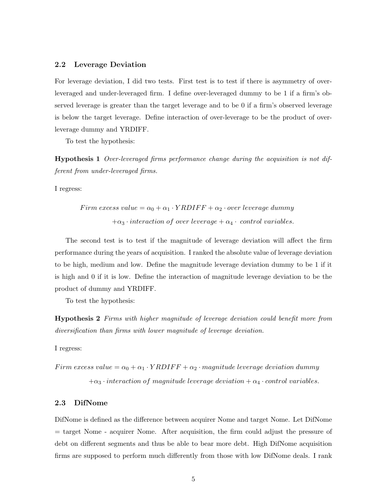## 2.2 Leverage Deviation

For leverage deviation, I did two tests. First test is to test if there is asymmetry of overleveraged and under-leveraged firm. I define over-leveraged dummy to be 1 if a firm's observed leverage is greater than the target leverage and to be 0 if a firm's observed leverage is below the target leverage. Define interaction of over-leverage to be the product of overleverage dummy and YRDIFF.

To test the hypothesis:

Hypothesis 1 Over-leveraged firms performance change during the acquisition is not different from under-leveraged firms.

I regress:

$$
Firm excess value = \alpha_0 + \alpha_1 \cdot YRDIFF + \alpha_2 \cdot over leverage dummy
$$

$$
+\alpha_3 \cdot interaction of over leverage + \alpha_4 \cdot control variables.
$$

The second test is to test if the magnitude of leverage deviation will affect the firm performance during the years of acquisition. I ranked the absolute value of leverage deviation to be high, medium and low. Define the magnitude leverage deviation dummy to be 1 if it is high and 0 if it is low. Define the interaction of magnitude leverage deviation to be the product of dummy and YRDIFF.

To test the hypothesis:

Hypothesis 2 Firms with higher magnitude of leverage deviation could benefit more from diversification than firms with lower magnitude of leverage deviation.

I regress:

Firm excess value =  $\alpha_0 + \alpha_1 \cdot YRDIFF + \alpha_2 \cdot magnitude$  leverage deviation dummy  $+\alpha_3 \cdot interaction$  of magnitude leverage deviation  $+\alpha_4 \cdot control$  variables.

#### 2.3 DifNome

DifNome is defined as the difference between acquirer Nome and target Nome. Let DifNome = target Nome - acquirer Nome. After acquisition, the firm could adjust the pressure of debt on different segments and thus be able to bear more debt. High DifNome acquisition firms are supposed to perform much differently from those with low DifNome deals. I rank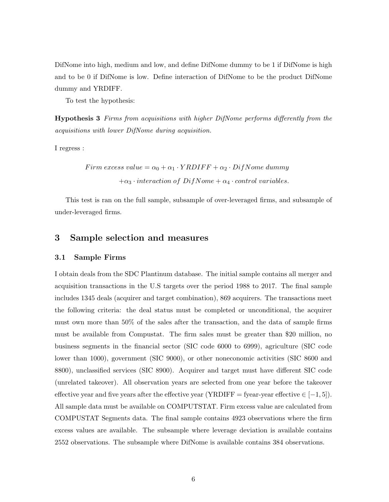DifNome into high, medium and low, and define DifNome dummy to be 1 if DifNome is high and to be 0 if DifNome is low. Define interaction of DifNome to be the product DifNome dummy and YRDIFF.

To test the hypothesis:

Hypothesis 3 Firms from acquisitions with higher DifNome performs differently from the acquisitions with lower DifNome during acquisition.

I regress :

Firm excess value =  $\alpha_0 + \alpha_1 \cdot YRDIFF + \alpha_2 \cdot Diff$ Nome dummy  $+\alpha_3 \cdot interaction \ of \ Diff\,mee + \alpha_4 \cdot control \ variables.$ 

This test is ran on the full sample, subsample of over-leveraged firms, and subsample of under-leveraged firms.

## 3 Sample selection and measures

#### 3.1 Sample Firms

I obtain deals from the SDC Plantinum database. The initial sample contains all merger and acquisition transactions in the U.S targets over the period 1988 to 2017. The final sample includes 1345 deals (acquirer and target combination), 869 acquirers. The transactions meet the following criteria: the deal status must be completed or unconditional, the acquirer must own more than 50% of the sales after the transaction, and the data of sample firms must be available from Compustat. The firm sales must be greater than \$20 million, no business segments in the financial sector (SIC code 6000 to 6999), agriculture (SIC code lower than 1000), government (SIC 9000), or other noneconomic activities (SIC 8600 and 8800), unclassified services (SIC 8900). Acquirer and target must have different SIC code (unrelated takeover). All observation years are selected from one year before the takeover effective year and five years after the effective year (YRDIFF = fyear-year effective  $\in [-1, 5]$ ). All sample data must be available on COMPUTSTAT. Firm excess value are calculated from COMPUSTAT Segments data. The final sample contains 4923 observations where the firm excess values are available. The subsample where leverage deviation is available contains 2552 observations. The subsample where DifNome is available contains 384 observations.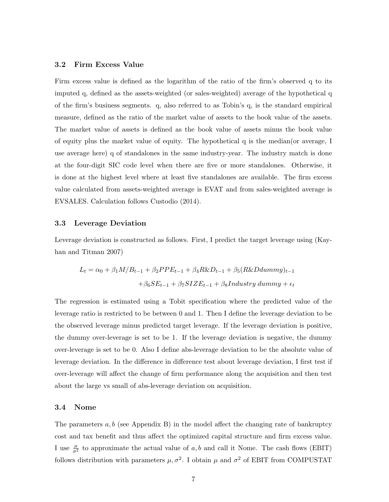#### 3.2 Firm Excess Value

Firm excess value is defined as the logarithm of the ratio of the firm's observed q to its imputed q, defined as the assets-weighted (or sales-weighted) average of the hypothetical q of the firm's business segments. q, also referred to as Tobin's q, is the standard empirical measure, defined as the ratio of the market value of assets to the book value of the assets. The market value of assets is defined as the book value of assets minus the book value of equity plus the market value of equity. The hypothetical q is the median(or average, I use average here) q of standalones in the same industry-year. The industry match is done at the four-digit SIC code level when there are five or more standalones. Otherwise, it is done at the highest level where at least five standalones are available. The firm excess value calculated from assets-weighted average is EVAT and from sales-weighted average is EVSALES. Calculation follows Custodio (2014).

## 3.3 Leverage Deviation

Leverage deviation is constructed as follows. First, I predict the target leverage using (Kayhan and Titman 2007)

$$
L_t = \alpha_0 + \beta_1 M / B_{t-1} + \beta_2 PPE_{t-1} + \beta_4 R \& D_{t-1} + \beta_5 (R \& Ddummy)_{t-1}
$$

$$
+ \beta_6 SE_{t-1} + \beta_7 SIZE_{t-1} + \beta_8 Industry \ dummy + \epsilon_t
$$

The regression is estimated using a Tobit specification where the predicted value of the leverage ratio is restricted to be between 0 and 1. Then I define the leverage deviation to be the observed leverage minus predicted target leverage. If the leverage deviation is positive, the dummy over-leverage is set to be 1. If the leverage deviation is negative, the dummy over-leverage is set to be 0. Also I define abs-leverage deviation to be the absolute value of leverage deviation. In the difference in difference test about leverage deviation, I first test if over-leverage will affect the change of firm performance along the acquisition and then test about the large vs small of abs-leverage deviation on acquisition.

#### 3.4 Nome

The parameters  $a, b$  (see Appendix B) in the model affect the changing rate of bankruptcy cost and tax benefit and thus affect the optimized capital structure and firm excess value. I use  $\frac{\mu}{\sigma^2}$  to approximate the actual value of a, b and call it Nome. The cash flows (EBIT) follows distribution with parameters  $\mu, \sigma^2$ . I obtain  $\mu$  and  $\sigma^2$  of EBIT from COMPUSTAT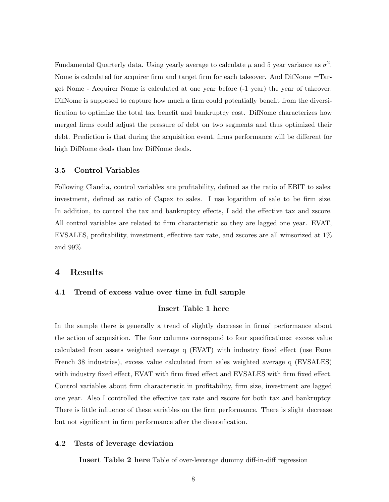Fundamental Quarterly data. Using yearly average to calculate  $\mu$  and 5 year variance as  $\sigma^2$ . Nome is calculated for acquirer firm and target firm for each takeover. And DifNome =Target Nome - Acquirer Nome is calculated at one year before (-1 year) the year of takeover. DifNome is supposed to capture how much a firm could potentially benefit from the diversification to optimize the total tax benefit and bankruptcy cost. DifNome characterizes how merged firms could adjust the pressure of debt on two segments and thus optimized their debt. Prediction is that during the acquisition event, firms performance will be different for high DifNome deals than low DifNome deals.

#### 3.5 Control Variables

Following Claudia, control variables are profitability, defined as the ratio of EBIT to sales; investment, defined as ratio of Capex to sales. I use logarithm of sale to be firm size. In addition, to control the tax and bankruptcy effects, I add the effective tax and zscore. All control variables are related to firm characteristic so they are lagged one year. EVAT, EVSALES, profitability, investment, effective tax rate, and zscores are all winsorized at 1% and 99%.

## 4 Results

## 4.1 Trend of excess value over time in full sample

## Insert Table 1 here

In the sample there is generally a trend of slightly decrease in firms' performance about the action of acquisition. The four columns correspond to four specifications: excess value calculated from assets weighted average q (EVAT) with industry fixed effect (use Fama French 38 industries), excess value calculated from sales weighted average q (EVSALES) with industry fixed effect, EVAT with firm fixed effect and EVSALES with firm fixed effect. Control variables about firm characteristic in profitability, firm size, investment are lagged one year. Also I controlled the effective tax rate and zscore for both tax and bankruptcy. There is little influence of these variables on the firm performance. There is slight decrease but not significant in firm performance after the diversification.

## 4.2 Tests of leverage deviation

Insert Table 2 here Table of over-leverage dummy diff-in-diff regression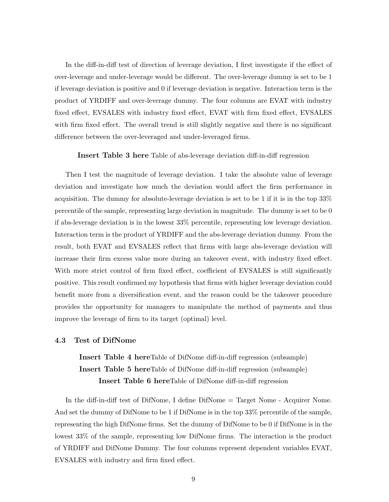In the diff-in-diff test of direction of leverage deviation, I first investigate if the effect of over-leverage and under-leverage would be different. The over-leverage dummy is set to be 1 if leverage deviation is positive and 0 if leverage deviation is negative. Interaction term is the product of YRDIFF and over-leverage dummy. The four columns are EVAT with industry fixed effect, EVSALES with industry fixed effect, EVAT with firm fixed effect, EVSALES with firm fixed effect. The overall trend is still slightly negative and there is no significant difference between the over-leveraged and under-leveraged firms.

#### Insert Table 3 here Table of abs-leverage deviation diff-in-diff regression

Then I test the magnitude of leverage deviation. I take the absolute value of leverage deviation and investigate how much the deviation would affect the firm performance in acquisition. The dummy for absolute-leverage deviation is set to be 1 if it is in the top 33% percentile of the sample, representing large deviation in magnitude. The dummy is set to be 0 if abs-leverage deviation is in the lowesr 33% percentile, representing low leverage deviation. Interaction term is the product of YRDIFF and the abs-leverage deviation dummy. From the result, both EVAT and EVSALES reflect that firms with large abs-leverage deviation will increase their firm excess value more during an takeover event, with industry fixed effect. With more strict control of firm fixed effect, coefficient of EVSALES is still significantly positive. This result confirmed my hypothesis that firms with higher leverage deviation could benefit more from a diversification event, and the reason could be the takeover procedure provides the opportunity for managers to manipulate the method of payments and thus improve the leverage of firm to its target (optimal) level.

## 4.3 Test of DifNome

Insert Table 4 hereTable of DifNome diff-in-diff regression (subsample) Insert Table 5 hereTable of DifNome diff-in-diff regression (subsample) Insert Table 6 hereTable of DifNome diff-in-diff regression

In the diff-in-diff test of DifNome, I define DifNome = Target Nome - Acquirer Nome. And set the dummy of DifNome to be 1 if DifNome is in the top 33% percentile of the sample, representing the high DifNome firms. Set the dummy of DifNome to be 0 if DifNome is in the lowest 33% of the sample, representing low DifNome firms. The interaction is the product of YRDIFF and DifNome Dummy. The four columns represent dependent variables EVAT, EVSALES with industry and firm fixed effect.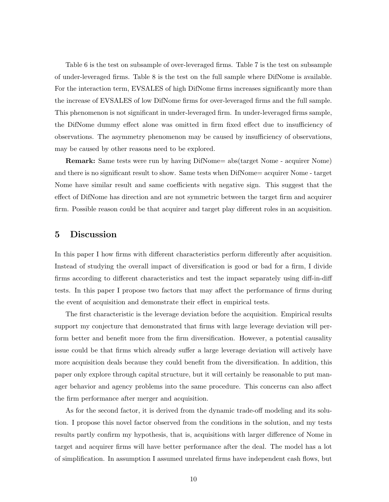Table 6 is the test on subsample of over-leveraged firms. Table 7 is the test on subsample of under-leveraged firms. Table 8 is the test on the full sample where DifNome is available. For the interaction term, EVSALES of high DifNome firms increases significantly more than the increase of EVSALES of low DifNome firms for over-leveraged firms and the full sample. This phenomenon is not significant in under-leveraged firm. In under-leveraged firms sample, the DifNome dummy effect alone was omitted in firm fixed effect due to insufficiency of observations. The asymmetry phenomenon may be caused by insufficiency of observations, may be caused by other reasons need to be explored.

Remark: Same tests were run by having DifNome= abs(target Nome - acquirer Nome) and there is no significant result to show. Same tests when DifNome= acquirer Nome - target Nome have similar result and same coefficients with negative sign. This suggest that the effect of DifNome has direction and are not symmetric between the target firm and acquirer firm. Possible reason could be that acquirer and target play different roles in an acquisition.

## 5 Discussion

In this paper I how firms with different characteristics perform differently after acquisition. Instead of studying the overall impact of diversification is good or bad for a firm, I divide firms according to different characteristics and test the impact separately using diff-in-diff tests. In this paper I propose two factors that may affect the performance of firms during the event of acquisition and demonstrate their effect in empirical tests.

The first characteristic is the leverage deviation before the acquisition. Empirical results support my conjecture that demonstrated that firms with large leverage deviation will perform better and benefit more from the firm diversification. However, a potential causality issue could be that firms which already suffer a large leverage deviation will actively have more acquisition deals because they could benefit from the diversification. In addition, this paper only explore through capital structure, but it will certainly be reasonable to put manager behavior and agency problems into the same procedure. This concerns can also affect the firm performance after merger and acquisition.

As for the second factor, it is derived from the dynamic trade-off modeling and its solution. I propose this novel factor observed from the conditions in the solution, and my tests results partly confirm my hypothesis, that is, acquisitions with larger difference of Nome in target and acquirer firms will have better performance after the deal. The model has a lot of simplification. In assumption I assumed unrelated firms have independent cash flows, but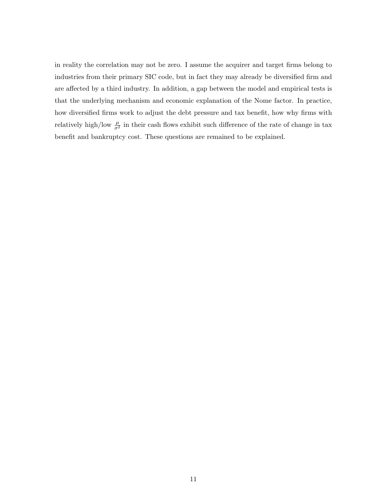in reality the correlation may not be zero. I assume the acquirer and target firms belong to industries from their primary SIC code, but in fact they may already be diversified firm and are affected by a third industry. In addition, a gap between the model and empirical tests is that the underlying mechanism and economic explanation of the Nome factor. In practice, how diversified firms work to adjust the debt pressure and tax benefit, how why firms with relatively high/low  $\frac{\mu}{\sigma^2}$  in their cash flows exhibit such difference of the rate of change in tax benefit and bankruptcy cost. These questions are remained to be explained.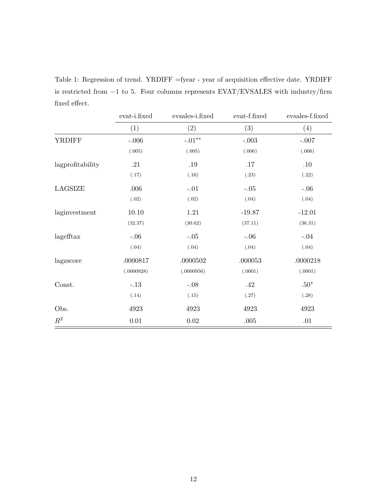Table 1: Regression of trend. YRDIFF =fyear - year of acquisition effective date. YRDIFF is restricted from −1 to 5. Four columns represents EVAT/EVSALES with industry/firm fixed effect.

|                  | evat-i.fixed | evsales-i.fixed | evat-f.fixed | evsales-f.fixed |
|------------------|--------------|-----------------|--------------|-----------------|
|                  | (1)          | (2)             | (3)          | (4)             |
| <b>YRDIFF</b>    | $-.006$      | $-.01**$        | $-.003$      | $-.007$         |
|                  | (.005)       | (.005)          | (.006)       | (.006)          |
| lagprofitability | .21          | $.19\,$         | $.17$        | .10             |
|                  | (.17)        | (.16)           | (.23)        | (.22)           |
| LAGSIZE          | .006         | $-.01$          | $-.05$       | $-.06$          |
|                  | (.02)        | (.02)           | (.04)        | (.04)           |
| laginvestment    | 10.10        | 1.21            | $-19.87$     | $-12.01$        |
|                  | (32.37)      | (30.62)         | (37.11)      | (36.31)         |
| lagefftax        | $-.06$       | $-.05$          | $-.06$       | $-.04$          |
|                  | (.04)        | (.04)           | (.04)        | (.04)           |
| lagzscore        | .0000817     | .0000502        | .000053      | .0000218        |
|                  | (.0000928)   | (.0000956)      | (.0001)      | (.0001)         |
| Const.           | $-.13$       | $-.08$          | .42          | $.50*$          |
|                  | (.14)        | (.15)           | (.27)        | (.28)           |
| Obs.             | 4923         | 4923            | 4923         | 4923            |
| $\mathbb{R}^2$   | $0.01\,$     | $0.02\,$        | $.005\,$     | .01             |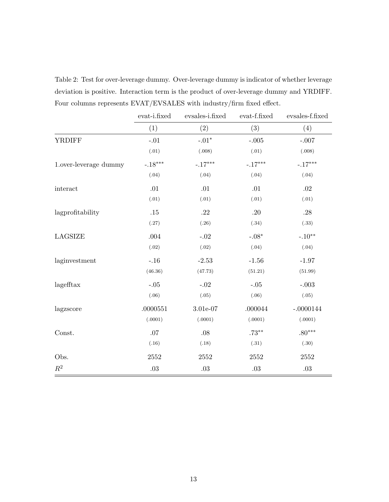Table 2: Test for over-leverage dummy. Over-leverage dummy is indicator of whether leverage deviation is positive. Interaction term is the product of over-leverage dummy and YRDIFF. Four columns represents EVAT/EVSALES with industry/firm fixed effect.

|                       | evat-i.fixed  | evsales-i.fixed | evat-f.fixed | evsales-f.fixed |
|-----------------------|---------------|-----------------|--------------|-----------------|
|                       | (1)           | (2)             | (3)          | (4)             |
| <b>YRDIFF</b>         | $\text{-}.01$ | $-.01*$         | $-.005$      | $-.007$         |
|                       | (.01)         | (.008)          | (.01)        | (.008)          |
| 1.over-leverage dummy | $-.18***$     | $-.17***$       | $-.17***$    | $-.17***$       |
|                       | (.04)         | (.04)           | (.04)        | (.04)           |
| interact              | .01           | .01             | .01          | .02             |
|                       | (.01)         | (.01)           | (.01)        | (.01)           |
| lagprofitability      | .15           | .22             | .20          | .28             |
|                       | (.27)         | (.26)           | (.34)        | (.33)           |
| LAGSIZE               | .004          | $-.02$          | $-.08*$      | $-.10**$        |
|                       | (.02)         | (.02)           | (.04)        | (.04)           |
| laginvestment         | $-.16$        | $-2.53$         | $-1.56$      | $-1.97$         |
|                       | (46.36)       | (47.73)         | (51.21)      | (51.99)         |
| lagefftax             | $-.05$        | $-.02$          | $-.05$       | $-.003$         |
|                       | (.06)         | (.05)           | (.06)        | (.05)           |
| lagzscore             | .0000551      | 3.01e-07        | .000044      | $-.0000144$     |
|                       | (.0001)       | (.0001)         | (.0001)      | (.0001)         |
| Const.                | .07           | .08             | $.73***$     | $.80***$        |
|                       | (.16)         | (.18)           | (.31)        | (.30)           |
| Obs.                  | $2552\,$      | $2552\,$        | $2552\,$     | $2552\,$        |
| $\mathbb{R}^2$        | $.03\,$       | $.03\,$         | $.03\,$      | $.03\,$         |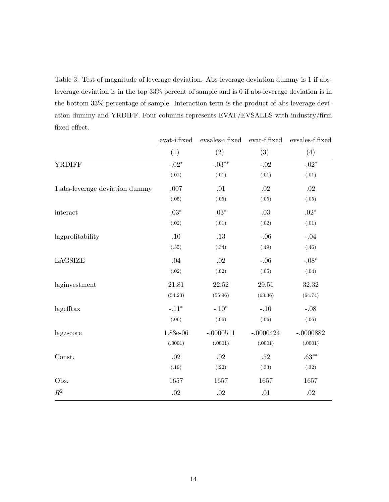Table 3: Test of magnitude of leverage deviation. Abs-leverage deviation dummy is 1 if absleverage deviation is in the top 33% percent of sample and is 0 if abs-leverage deviation is in the bottom 33% percentage of sample. Interaction term is the product of abs-leverage deviation dummy and YRDIFF. Four columns represents EVAT/EVSALES with industry/firm fixed effect.

|                                | evat-i.fixed | evsales-i.fixed          | evat-f.fixed | evsales-f.fixed |
|--------------------------------|--------------|--------------------------|--------------|-----------------|
|                                | (1)          | (2)                      | (3)          | (4)             |
| <b>YRDIFF</b>                  | $-.02*$      | $\textnormal{-}.03^{**}$ | $-.02$       | $-.02*$         |
|                                | (.01)        | (.01)                    | (.01)        | (.01)           |
| 1.abs-leverage deviation dummy | .007         | .01                      | .02          | .02             |
|                                | (.05)        | (.05)                    | (.05)        | (.05)           |
| interact                       | $.03*$       | $.03*$                   | .03          | $.02*$          |
|                                | (.02)        | (.01)                    | (.02)        | (.01)           |
| lagprofitability               | .10          | .13                      | $-.06$       | $-.04$          |
|                                | (.35)        | (.34)                    | (.49)        | (.46)           |
| LAGSIZE                        | .04          | .02                      | $-.06$       | $-.08*$         |
|                                | (.02)        | (.02)                    | (.05)        | (.04)           |
| laginvestment                  | 21.81        | 22.52                    | 29.51        | 32.32           |
|                                | (54.23)      | (55.96)                  | (63.36)      | (64.74)         |
| lagefftax                      | $-.11*$      | $-.10*$                  | $-.10$       | $-.08$          |
|                                | (.06)        | (.06)                    | (.06)        | (.06)           |
| lagzscore                      | 1.83e-06     | $-.0000511$              | $-.0000424$  | $-.0000882$     |
|                                | (.0001)      | (.0001)                  | (.0001)      | (.0001)         |
| Const.                         | .02          | $.02\,$                  | .52          | $.63***$        |
|                                | (.19)        | (.22)                    | (.33)        | (.32)           |
| Obs.                           | 1657         | 1657                     | 1657         | 1657            |
| $\mathbb{R}^2$                 | $.02\,$      | $.02\,$                  | .01          | $.02\,$         |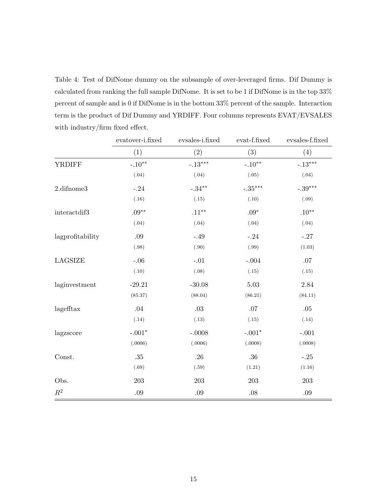Table 4: Test of DifNome dummy on the subsample of over-leveraged firms. Dif Dummy is calculated from ranking the full sample DifNome. It is set to be 1 if DifNome is in the top 33% percent of sample and is 0 if DifNome is in the bottom 33% percent of the sample. Interaction term is the product of Dif Dummy and YRDIFF. Four columns represents EVAT/EVSALES with industry/firm fixed effect.

|                  | evatover-i.fixed | evsales-i.fixed | evat-f.fixed | evsales-f.fixed |
|------------------|------------------|-----------------|--------------|-----------------|
|                  | (1)              | $(2)$           | (3)          | (4)             |
| <b>YRDIFF</b>    | $-.10**$         | $-.13***$       | $-.10**$     | $-.13***$       |
|                  | (.04)            | (.04)           | (.05)        | (.04)           |
| 2.difnome3       | $-.24$           | $-.34***$       | $-.35***$    | $-.39***$       |
|                  | (.16)            | (.15)           | (.10)        | (.09)           |
| interactdif3     | $.09**$          | $.11***$        | $.09*$       | $.10**$         |
|                  | (.04)            | (.04)           | (.04)        | (.04)           |
| lagprofitability | $.09\,$          | $-.49$          | $-.24$       | $-.27$          |
|                  | (.98)            | (.90)           | (.99)        | (1.03)          |
| LAGSIZE          | $-.06$           | $-.01$          | $-.004$      | .07             |
|                  | (.10)            | (.08)           | (.15)        | (.15)           |
| laginvestment    | $-29.21$         | $-30.08$        | $5.03\,$     | $2.84\,$        |
|                  | (85.37)          | (88.04)         | (86.21)      | (84.11)         |
| lagefftax        | .04              | $.03\,$         | .07          | .05             |
|                  | (.14)            | (.13)           | (.15)        | (.14)           |
| lagzscore        | $-.001*$         | $-.0008$        | $-.001*$     | $\text{-}.001$  |
|                  | (.0006)          | (.0006)         | (.0008)      | (.0008)         |
| Const.           | .35              | .26             | .36          | $-.25$          |
|                  | (.69)            | (.59)           | (1.21)       | (1.16)          |
| Obs.             | $203\,$          | 203             | $203\,$      | 203             |
| $R^2$            | .09              | $.09\,$         | $.08\,$      | $.09\,$         |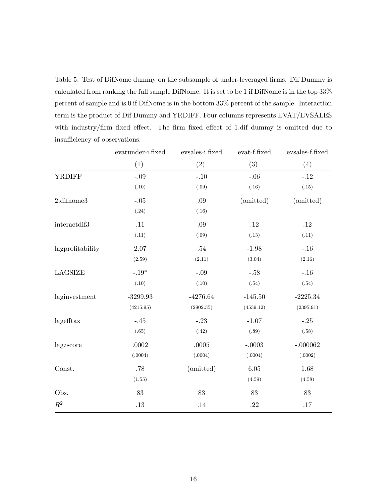Table 5: Test of DifNome dummy on the subsample of under-leveraged firms. Dif Dummy is calculated from ranking the full sample DifNome. It is set to be 1 if DifNome is in the top 33% percent of sample and is 0 if DifNome is in the bottom 33% percent of the sample. Interaction term is the product of Dif Dummy and YRDIFF. Four columns represents EVAT/EVSALES with industry/firm fixed effect. The firm fixed effect of 1.dif dummy is omitted due to insufficiency of observations.

|                  | evatunder-i.fixed | evsales-i.fixed | evat-f.fixed | evsales-f.fixed |
|------------------|-------------------|-----------------|--------------|-----------------|
|                  | (1)               | (2)             | (3)          | (4)             |
| <b>YRDIFF</b>    | $-.09$            | $-.10$          | $-.06$       | $-.12$          |
|                  | (.10)             | (.09)           | (.16)        | (.15)           |
| 2.difnome3       | $-.05$            | .09             | (omitted)    | (omitted)       |
|                  | (.24)             | (.16)           |              |                 |
| interactdif3     | .11               | .09             | .12          | .12             |
|                  | (.11)             | (.09)           | (.13)        | (.11)           |
| lagprofitability | 2.07              | .54             | $-1.98$      | $-.16$          |
|                  | (2.59)            | (2.11)          | (3.04)       | (2.16)          |
| LAGSIZE          | $-.19*$           | $-.09$          | $-.58$       | $-.16$          |
|                  | (.10)             | (.10)           | (.54)        | (.54)           |
| laginvestment    | $-3299.93$        | $-4276.64$      | $-145.50$    | $-2225.34$      |
|                  | (4215.95)         | (2902.35)       | (4539.12)    | (2395.91)       |
| lagefftax        | $-.45$            | $-.23$          | $-1.07$      | $-.25$          |
|                  | (.65)             | (.42)           | (.89)        | (.58)           |
| lagzscore        | $.0002\,$         | .0005           | $-.0003$     | $-.000062$      |
|                  | (.0004)           | (.0004)         | (.0004)      | (.0002)         |
| Const.           | .78               | (omitted)       | 6.05         | 1.68            |
|                  | (1.55)            |                 | (4.59)       | (4.58)          |
| Obs.             | 83                | 83              | 83           | 83              |
| $\mathbb{R}^2$   | .13               | $.14\,$         | .22          | .17             |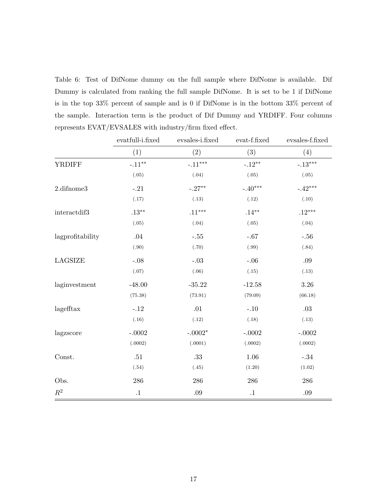Table 6: Test of DifNome dummy on the full sample where DifNome is available. Dif Dummy is calculated from ranking the full sample DifNome. It is set to be 1 if DifNome is in the top 33% percent of sample and is 0 if DifNome is in the bottom 33% percent of the sample. Interaction term is the product of Dif Dummy and YRDIFF. Four columns represents EVAT/EVSALES with industry/firm fixed effect.

|                  | evatfull-i.fixed | evsales-i.fixed | evat-f.fixed | evsales-f.fixed |
|------------------|------------------|-----------------|--------------|-----------------|
|                  | (1)              | (2)             | (3)          | (4)             |
| <b>YRDIFF</b>    | $-.11***$        | $-.11***$       | $-.12**$     | $-.13***$       |
|                  | (.05)            | (.04)           | (.05)        | (.05)           |
| 2.difnome3       | $-.21$           | $-.27**$        | $-.40***$    | $-.42***$       |
|                  | (.17)            | (.13)           | (.12)        | (.10)           |
| interactdif3     | $.13***$         | $.11***$        | $.14***$     | $.12***$        |
|                  | (.05)            | (.04)           | (.05)        | (.04)           |
| lagprofitability | .04              | $-.55$          | $-.67$       | $-.56$          |
|                  | (.90)            | (.70)           | (.99)        | (.84)           |
| LAGSIZE          | $-.08$           | $-.03$          | $-.06$       | .09             |
|                  | (.07)            | (.06)           | (.15)        | (.13)           |
| laginvestment    | $-48.00$         | $-35.22$        | $-12.58$     | 3.26            |
|                  | (75.38)          | (73.91)         | (79.09)      | (66.18)         |
| lagefftax        | $-.12$           | .01             | $-.10$       | .03             |
|                  | (.16)            | (.12)           | (.18)        | (.13)           |
| lagzscore        | $-.0002$         | $-.0002*$       | $-.0002$     | $-.0002$        |
|                  | (.0002)          | (.0001)         | (.0002)      | (.0002)         |
| Const.           | .51              | .33             | 1.06         | $-.34$          |
|                  | (.54)            | (.45)           | (1.20)       | (1.02)          |
| Obs.             | 286              | 286             | 286          | 286             |
| $\mathbb{R}^2$   | $\cdot$ 1        | $.09\,$         | $\cdot$ 1    | .09             |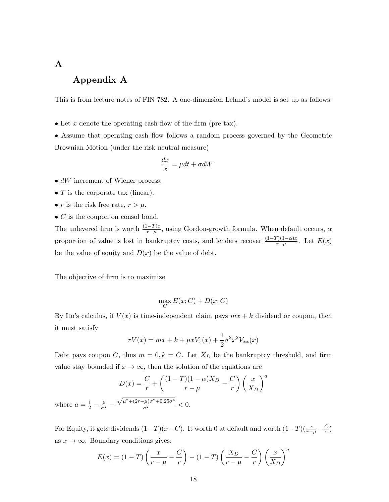# A

# Appendix A

This is from lecture notes of FIN 782. A one-dimension Leland's model is set up as follows:

• Let x denote the operating cash flow of the firm (pre-tax).

• Assume that operating cash flow follows a random process governed by the Geometric Brownian Motion (under the risk-neutral measure)

$$
\frac{dx}{x} = \mu dt + \sigma dW
$$

- dW increment of Wiener process.
- $\bullet$   $T$  is the corporate tax (linear).
- r is the risk free rate,  $r > \mu$ .
- $C$  is the coupon on consol bond.

The unlevered firm is worth  $\frac{(1-T)x}{r-\mu}$ , using Gordon-growth formula. When default occurs,  $\alpha$ proportion of value is lost in bankruptcy costs, and lenders recover  $\frac{(1-T)(1-\alpha)x}{r-\mu}$ . Let  $E(x)$ be the value of equity and  $D(x)$  be the value of debt.

The objective of firm is to maximize

$$
\max_C E(x;C) + D(x;C)
$$

By Ito's calculus, if  $V(x)$  is time-independent claim pays  $mx + k$  dividend or coupon, then it must satisfy

$$
rV(x) = mx + k + \mu x V_x(x) + \frac{1}{2}\sigma^2 x^2 V_{xx}(x)
$$

Debt pays coupon C, thus  $m = 0, k = C$ . Let  $X_D$  be the bankruptcy threshold, and firm value stay bounded if  $x \to \infty$ , then the solution of the equations are

$$
D(x) = \frac{C}{r} + \left(\frac{(1-T)(1-\alpha)X_D}{r-\mu} - \frac{C}{r}\right) \left(\frac{x}{X_D}\right)^a
$$
  

$$
\frac{1}{2} - \frac{\mu}{\sigma^2} - \frac{\sqrt{\mu^2 + (2r - \mu)\sigma^2 + 0.25\sigma^4}}{\sigma^2} < 0.
$$

where  $a =$  $rac{1}{2}$  –  $\frac{\mu}{\sigma^2}$   $\frac{\sigma^{2}}{\sigma^{2}} < 0.$ 

For Equity, it gets dividends  $(1-T)(x-C)$ . It worth 0 at default and worth  $(1-T)(\frac{x}{r-\mu}-\frac{C}{r})$  $\frac{C}{r}$ as  $x \to \infty$ . Boundary conditions gives:

$$
E(x) = (1 - T) \left(\frac{x}{r - \mu} - \frac{C}{r}\right) - (1 - T) \left(\frac{X_D}{r - \mu} - \frac{C}{r}\right) \left(\frac{x}{X_D}\right)^a
$$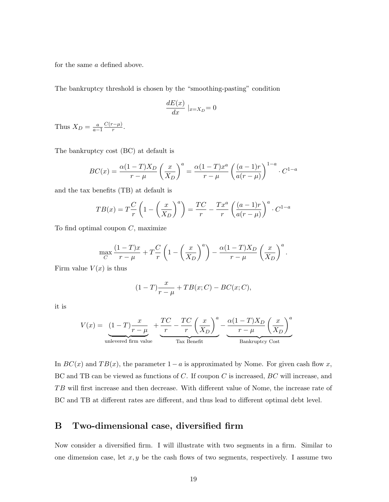for the same a defined above.

The bankruptcy threshold is chosen by the "smoothing-pasting" condition

$$
\frac{dE(x)}{dx}|_{x=X_D} = 0
$$

Thus  $X_D = \frac{a}{a-1}$  $C(r-\mu)$  $\frac{(-\mu)}{r}$ .

The bankruptcy cost (BC) at default is

$$
BC(x) = \frac{\alpha(1-T)X_D}{r-\mu} \left(\frac{x}{X_D}\right)^a = \frac{\alpha(1-T)x^a}{r-\mu} \left(\frac{(a-1)r}{a(r-\mu)}\right)^{1-a} \cdot C^{1-a}
$$

and the tax benefits (TB) at default is

$$
TB(x) = T\frac{C}{r}\left(1 - \left(\frac{x}{X_D}\right)^a\right) = \frac{TC}{r} - \frac{Tx^a}{r}\left(\frac{(a-1)r}{a(r-\mu)}\right)^a \cdot C^{1-a}
$$

To find optimal coupon  $C$ , maximize

$$
\max_{C} \frac{(1-T)x}{r-\mu} + T\frac{C}{r} \left(1 - \left(\frac{x}{X_D}\right)^a\right) - \frac{\alpha(1-T)X_D}{r-\mu} \left(\frac{x}{X_D}\right)^a.
$$

Firm value  $V(x)$  is thus

$$
(1-T)\frac{x}{r-\mu} + TB(x;C) - BC(x;C),
$$

it is

$$
V(x) = \underbrace{(1-T)\frac{x}{r-\mu}}_{\text{unlevered firm value}} + \underbrace{\frac{TC}{r} - \frac{TC}{r}\left(\frac{x}{X_D}\right)^a}_{\text{Tax Benéfit}} - \underbrace{\frac{\alpha(1-T)X_D}{r-\mu}\left(\frac{x}{X_D}\right)^a}_{\text{Bankruptcy Cost}}
$$

In  $BC(x)$  and  $TB(x)$ , the parameter  $1 - a$  is approximated by Nome. For given cash flow x, BC and TB can be viewed as functions of C. If coupon C is increased, BC will increase, and TB will first increase and then decrease. With different value of Nome, the increase rate of BC and TB at different rates are different, and thus lead to different optimal debt level.

## B Two-dimensional case, diversified firm

Now consider a diversified firm. I will illustrate with two segments in a firm. Similar to one dimension case, let  $x, y$  be the cash flows of two segments, respectively. I assume two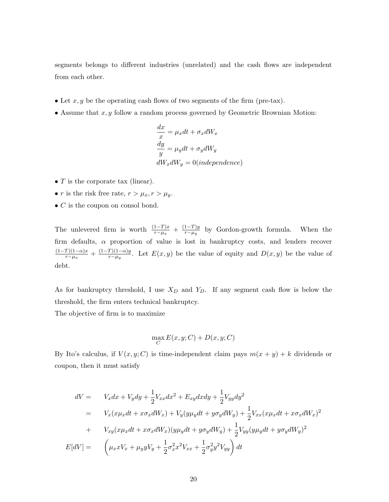segments belongs to different industries (unrelated) and the cash flows are independent from each other.

- Let  $x, y$  be the operating cash flows of two segments of the firm (pre-tax).
- Assume that  $x, y$  follow a random process governed by Geometric Brownian Motion:

$$
\frac{dx}{x} = \mu_x dt + \sigma_x dW_x
$$
  

$$
\frac{dy}{y} = \mu_y dt + \sigma_y dW_y
$$
  

$$
dW_x dW_y = 0 (independence)
$$

- $T$  is the corporate tax (linear).
- r is the risk free rate,  $r > \mu_x, r > \mu_y$ .
- $\bullet$  C is the coupon on consol bond.

The unlevered firm is worth  $\frac{(1-T)x}{r-\mu_x} + \frac{(1-T)y}{r-\mu_y}$  $\frac{1-Iyy}{r-\mu_y}$  by Gordon-growth formula. When the firm defaults,  $\alpha$  proportion of value is lost in bankruptcy costs, and lenders recover  $(1-T)(1-\alpha)x$  $\frac{T(1-\alpha)x}{r-\mu_x} + \frac{(1-T)(1-\alpha)y}{r-\mu_y}$  $\frac{F(1)-\alpha y}{F-\mu_y}$ . Let  $E(x, y)$  be the value of equity and  $D(x, y)$  be the value of debt.

As for bankruptcy threshold, I use  $X_D$  and  $Y_D$ . If any segment cash flow is below the threshold, the firm enters technical bankruptcy.

The objective of firm is to maximize

$$
\max_C E(x, y; C) + D(x, y; C)
$$

By Ito's calculus, if  $V(x, y; C)$  is time-independent claim pays  $m(x + y) + k$  dividends or coupon, then it must satisfy

$$
dV = V_x dx + V_y dy + \frac{1}{2} V_{xx} dx^2 + E_{xy} dx dy + \frac{1}{2} V_{yy} dy^2
$$
  
\n
$$
= V_x (x\mu_x dt + x\sigma_x dW_x) + V_y (y\mu_y dt + y\sigma_y dW_y) + \frac{1}{2} V_{xx} (x\mu_x dt + x\sigma_x dW_x)^2
$$
  
\n
$$
+ V_{xy} (x\mu_x dt + x\sigma_x dW_x) (y\mu_y dt + y\sigma_y dW_y) + \frac{1}{2} V_{yy} (y\mu_y dt + y\sigma_y dW_y)^2
$$
  
\n
$$
E[dV] = \left(\mu_x x V_x + \mu_y y V_y + \frac{1}{2} \sigma_x^2 x^2 V_{xx} + \frac{1}{2} \sigma_y^2 y^2 V_{yy}\right) dt
$$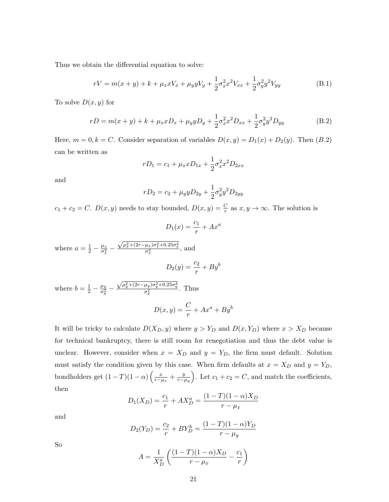Thus we obtain the differential equation to solve:

$$
rV = m(x + y) + k + \mu_x x V_x + \mu_y y V_y + \frac{1}{2} \sigma_x^2 x^2 V_{xx} + \frac{1}{2} \sigma_y^2 y^2 V_{yy}
$$
(B.1)

To solve  $D(x, y)$  for

$$
rD = m(x + y) + k + \mu_x x D_x + \mu_y y D_y + \frac{1}{2} \sigma_x^2 x^2 D_{xx} + \frac{1}{2} \sigma_y^2 y^2 D_{yy}
$$
(B.2)

Here,  $m = 0, k = C$ . Consider separation of variables  $D(x, y) = D_1(x) + D_2(y)$ . Then  $(B.2)$ can be written as

$$
rD_1 = c_1 + \mu_x x D_{1x} + \frac{1}{2} \sigma_x^2 x^2 D_{2xx}
$$

and

$$
rD_2 = c_2 + \mu_y y D_{2y} + \frac{1}{2} \sigma_y^2 y^2 D_{2yy}
$$

 $c_1 + c_2 = C$ .  $D(x, y)$  needs to stay bounded,  $D(x, y) = \frac{C}{r}$  as  $x, y \to \infty$ . The solution is

$$
D_1(x) = \frac{c_1}{r} + Ax^a
$$

where  $a = \frac{1}{2} - \frac{\mu_x}{\sigma_x^2}$  $\frac{\mu_x}{\sigma_x^2}$  —  $\frac{\sqrt{\mu_x^2 + (2r - \mu_x)\sigma_x^2 + 0.25\sigma_x^4}}{\sigma_x^2}$ , and  $D_2(y) = \frac{c_2}{r} + By^b$ 

where 
$$
b = \frac{1}{2} - \frac{\mu_y}{\sigma_y^2} - \frac{\sqrt{\mu_y^2 + (2r - \mu_y)\sigma_y^2 + 0.25\sigma_y^4}}{\sigma_y^2}
$$
. Thus

$$
D(x,y) = \frac{C}{r} + Ax^a + By^b
$$

It will be tricky to calculate  $D(X_D, y)$  where  $y > Y_D$  and  $D(x, Y_D)$  where  $x > X_D$  because for technical bankruptcy, there is still room for renegotiation and thus the debt value is unclear. However, consider when  $x = X_D$  and  $y = Y_D$ , the firm must default. Solution must satisfy the condition given by this case. When firm defaults at  $x = X_D$  and  $y = Y_D$ , bondholders get  $(1-T)(1-\alpha)\left(\frac{x}{r-\mu_x}+\frac{y}{r-\mu_y}\right)$  $\left(\frac{y}{r-\mu_y}\right)$ . Let  $c_1+c_2=C$ , and match the coefficients, then

$$
D_1(X_D) = \frac{c_1}{r} + AX_D^a = \frac{(1-T)(1-\alpha)X_D}{r - \mu_x}
$$

and

$$
D_2(Y_D) = \frac{c_2}{r} + BY_D^b = \frac{(1 - T)(1 - \alpha)Y_D}{r - \mu_y}
$$

So

$$
A = \frac{1}{X_D^a} \left( \frac{(1-T)(1-\alpha)X_D}{r - \mu_x} - \frac{c_1}{r} \right)
$$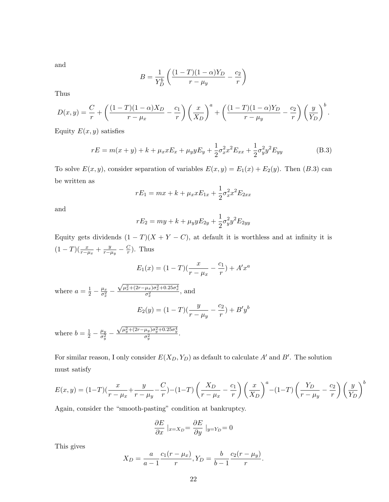and

$$
B = \frac{1}{Y_D^b} \left( \frac{(1-T)(1-\alpha)Y_D}{r - \mu_y} - \frac{c_2}{r} \right)
$$

Thus

$$
D(x,y) = \frac{C}{r} + \left(\frac{(1-T)(1-\alpha)X_D}{r-\mu_x} - \frac{c_1}{r}\right)\left(\frac{x}{X_D}\right)^a + \left(\frac{(1-T)(1-\alpha)Y_D}{r-\mu_y} - \frac{c_2}{r}\right)\left(\frac{y}{Y_D}\right)^b.
$$

Equity  $E(x, y)$  satisfies

$$
rE = m(x + y) + k + \mu_x x E_x + \mu_y y E_y + \frac{1}{2} \sigma_x^2 x^2 E_{xx} + \frac{1}{2} \sigma_y^2 y^2 E_{yy}
$$
(B.3)

To solve  $E(x, y)$ , consider separation of variables  $E(x, y) = E_1(x) + E_2(y)$ . Then (B.3) can be written as

$$
rE_1 = mx + k + \mu_x x E_{1x} + \frac{1}{2} \sigma_x^2 x^2 E_{2xx}
$$

and

$$
rE_2 = my + k + \mu_y y E_{2y} + \frac{1}{2} \sigma_y^2 y^2 E_{2yy}
$$

Equity gets dividends  $(1 - T)(X + Y - C)$ , at default it is worthless and at infinity it is  $(1-T)(\frac{x}{r-\mu_x}+\frac{y}{r-\mu_y})$  $\frac{y}{r-\mu_y}-\frac{C}{r}$  $(\frac{C}{r})$ . Thus

$$
E_1(x) = (1 - T)\left(\frac{x}{r - \mu_x} - \frac{c_1}{r}\right) + A'x^a
$$

where  $a = \frac{1}{2} - \frac{\mu_x}{\sigma_x^2}$  $\frac{\mu_x}{\sigma_x^2}$  —  $\frac{\sqrt{\mu_x^2 + (2r - \mu_x)\sigma_x^2 + 0.25\sigma_x^4}}{\sigma_x^2}$ , and

$$
E_2(y) = (1 - T)\left(\frac{y}{r - \mu_y} - \frac{c_2}{r}\right) + B'y^b
$$

where  $b = \frac{1}{2} - \frac{\mu_y}{\sigma_y^2}$  $\frac{\mu_y}{\sigma_y^2}$  —  $\frac{\sqrt{\mu_y^2 + (2r - \mu_y)\sigma_y^2 + 0.25\sigma_y^4}}{\sigma_y^2}.$ 

For similar reason, I only consider  $E(X_D, Y_D)$  as default to calculate A' and B'. The solution must satisfy

$$
E(x,y) = (1-T)\left(\frac{x}{r-\mu_x} + \frac{y}{r-\mu_y} - \frac{C}{r}\right) - (1-T)\left(\frac{X_D}{r-\mu_x} - \frac{c_1}{r}\right)\left(\frac{x}{X_D}\right)^a - (1-T)\left(\frac{Y_D}{r-\mu_y} - \frac{c_2}{r}\right)\left(\frac{y}{Y_D}\right)^b
$$

Again, consider the "smooth-pasting" condition at bankruptcy.

$$
\frac{\partial E}{\partial x} \mid_{x = X_D} = \frac{\partial E}{\partial y} \mid_{y = Y_D} = 0
$$

This gives

$$
X_D = \frac{a}{a-1} \frac{c_1(r - \mu_x)}{r}, Y_D = \frac{b}{b-1} \frac{c_2(r - \mu_y)}{r}.
$$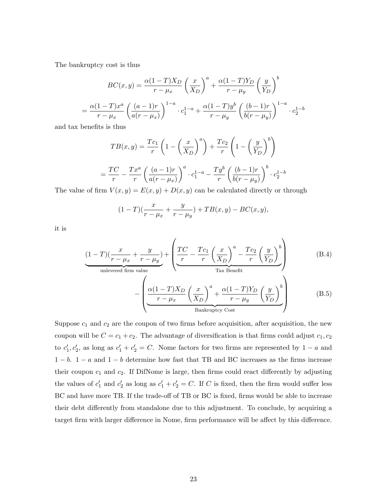The bankruptcy cost is thus

$$
BC(x,y) = \frac{\alpha(1-T)X_D}{r - \mu_x} \left(\frac{x}{X_D}\right)^a + \frac{\alpha(1-T)Y_D}{r - \mu_y} \left(\frac{y}{Y_D}\right)^b
$$

$$
= \frac{\alpha(1-T)x^a}{r - \mu_x} \left(\frac{(a-1)r}{a(r - \mu_x)}\right)^{1-a} \cdot c_1^{1-a} + \frac{\alpha(1-T)y^b}{r - \mu_y} \left(\frac{(b-1)r}{b(r - \mu_y)}\right)^{1-a} \cdot c_2^{1-b}
$$

and tax benefits is thus

$$
TB(x,y) = \frac{Tc_1}{r} \left( 1 - \left(\frac{x}{X_D}\right)^a \right) + \frac{Tc_2}{r} \left( 1 - \left(\frac{y}{Y_D}\right)^b \right)
$$

$$
= \frac{TC}{r} - \frac{Tx^a}{r} \left( \frac{(a-1)r}{a(r-\mu_x)} \right)^a \cdot c_1^{1-a} - \frac{Ty^b}{r} \left( \frac{(b-1)r}{b(r-\mu_y)} \right)^b \cdot c_2^{1-b}
$$

The value of firm  $V(x, y) = E(x, y) + D(x, y)$  can be calculated directly or through

$$
(1-T)(\frac{x}{r-\mu_x} + \frac{y}{r-\mu_y}) + TB(x, y) - BC(x, y),
$$

it is

$$
\underbrace{(1-T)(\frac{x}{r-\mu_x}+\frac{y}{r-\mu_y})}_{\text{unlevered firm value}} + \left(\underbrace{\frac{TC}{r}-\frac{Tc_1}{r}\left(\frac{x}{X_D}\right)^a}_{\text{Tax Benéfit}} - \underbrace{\frac{Tc_2}{r}\left(\frac{y}{Y_D}\right)^b}_{\text{Tax Benéfit}}\right) \tag{B.4}
$$
\n
$$
-\left(\underbrace{\frac{\alpha(1-T)X_D}{r-\mu_x}\left(\frac{x}{X_D}\right)^a}_{\text{A}} + \frac{\alpha(1-T)Y_D}{r-\mu_y}\left(\frac{y}{Y_D}\right)^b}_{\text{B.5}}
$$

Bankruptcy Cost

Suppose 
$$
c_1
$$
 and  $c_2$  are the coupon of two firms before acquisition, after acquisition, the new  
coupon will be  $C = c_1 + c_2$ . The advantage of diversification is that firms could adjust  $c_1, c_2$   
to  $c'_1, c'_2$ , as long as  $c'_1 + c'_2 = C$ . None factors for two firms are represented by  $1 - a$  and  
 $1 - b$ .  $1 - a$  and  $1 - b$  determine how fast that TB and BC increases as the firms increase  
their coupon  $c_1$  and  $c_2$ . If DiffNome is large, then firms could react differently by adjusting  
the values of  $c'_1$  and  $c'_2$  as long as  $c'_1 + c'_2 = C$ . If C is fixed, then the firm would suffer less  
BC and have more TB. If the trade-off of TB or BC is fixed, firms would be able to increase  
their debt differently from standalone due to this adjustment. To conclude, by acquiring a  
target firm with larger difference in Nome, firm performance will be affect by this difference.